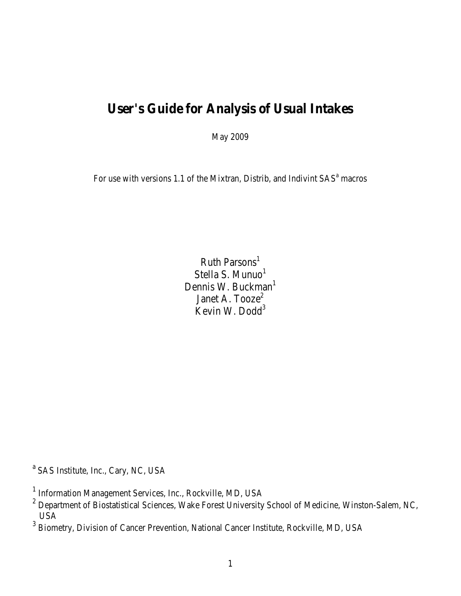# **User's Guide for Analysis of Usual Intakes**

May 2009

For use with versions 1.1 of the Mixtran, Distrib, and Indivint  $SAS<sup>a</sup>$  macros

Ruth Parsons $^1$ Stella S. Munuo<sup>1</sup> Dennis W. Buckman<sup>1</sup> Janet A. Tooze<sup>2</sup> Kevin W. Dodd<sup>3</sup>

<sup>a</sup> SAS Institute, Inc., Cary, NC, USA

<sup>&</sup>lt;sup>1</sup> Information Management Services, Inc., Rockville, MD, USA

<sup>&</sup>lt;sup>2</sup> Department of Biostatistical Sciences, Wake Forest University School of Medicine, Winston-Salem, NC, USA

<sup>&</sup>lt;sup>3</sup> Biometry, Division of Cancer Prevention, National Cancer Institute, Rockville, MD, USA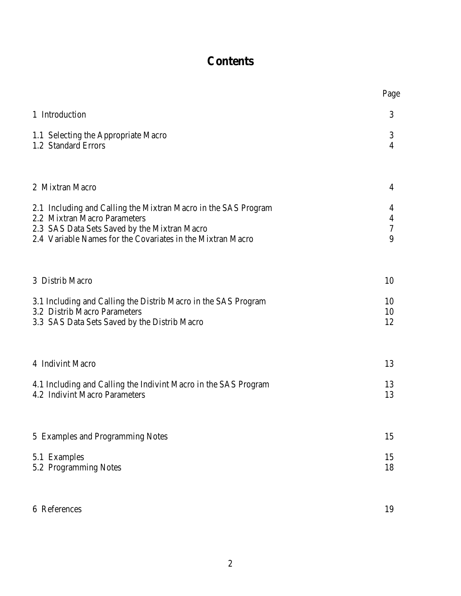# **Contents**

|                                                                                                                                                                                                              | Page                            |
|--------------------------------------------------------------------------------------------------------------------------------------------------------------------------------------------------------------|---------------------------------|
| 1 Introduction                                                                                                                                                                                               | 3                               |
| 1.1 Selecting the Appropriate Macro<br>1.2 Standard Errors                                                                                                                                                   | 3<br>$\overline{4}$             |
| 2 Mixtran Macro                                                                                                                                                                                              | $\overline{4}$                  |
| 2.1 Including and Calling the Mixtran Macro in the SAS Program<br>2.2 Mixtran Macro Parameters<br>2.3 SAS Data Sets Saved by the Mixtran Macro<br>2.4 Variable Names for the Covariates in the Mixtran Macro | 4<br>4<br>$\boldsymbol{7}$<br>9 |
| 3 Distrib Macro                                                                                                                                                                                              | 10                              |
| 3.1 Including and Calling the Distrib Macro in the SAS Program<br>3.2 Distrib Macro Parameters<br>3.3 SAS Data Sets Saved by the Distrib Macro                                                               | 10<br>10<br>12                  |
| 4 Indivint Macro                                                                                                                                                                                             | 13                              |
| 4.1 Including and Calling the Indivint Macro in the SAS Program<br>4.2 Indivint Macro Parameters                                                                                                             | 13<br>13                        |
| 5 Examples and Programming Notes                                                                                                                                                                             | 15                              |
| 5.1 Examples<br>5.2 Programming Notes                                                                                                                                                                        | 15<br>18                        |
| 6 References                                                                                                                                                                                                 | 19                              |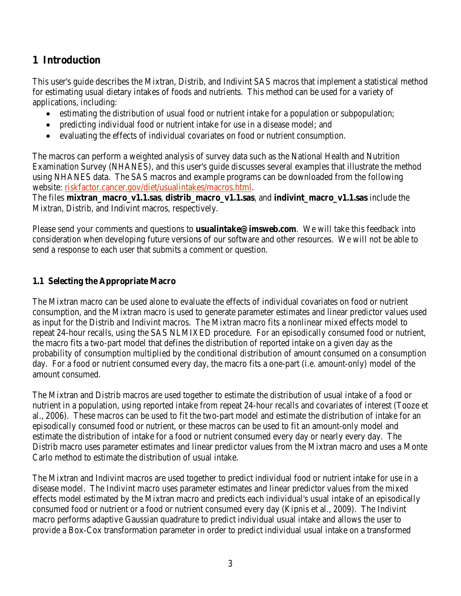# **1 Introduction**

This user's guide describes the Mixtran, Distrib, and Indivint SAS macros that implement a statistical method for estimating usual dietary intakes of foods and nutrients. This method can be used for a variety of applications, including:

- estimating the distribution of usual food or nutrient intake for a population or subpopulation;
- predicting individual food or nutrient intake for use in a disease model; and
- evaluating the effects of individual covariates on food or nutrient consumption.

The macros can perform a weighted analysis of survey data such as the National Health and Nutrition Examination Survey (NHANES), and this user's guide discusses several examples that illustrate the method using NHANES data. The SAS macros and example programs can be downloaded from the following website: riskfactor.cancer.gov/diet/usualintakes/macros.html.

The files **mixtran\_macro\_v1.1.sas**, **distrib\_macro\_v1.1.sas**, and **indivint\_macro\_v1.1.sas** include the Mixtran, Distrib, and Indivint macros, respectively.

Please send your comments and questions to **usualintake@imsweb.com**. We will take this feedback into consideration when developing future versions of our software and other resources. We will not be able to send a response to each user that submits a comment or question.

### **1.1 Selecting the Appropriate Macro**

The Mixtran macro can be used alone to evaluate the effects of individual covariates on food or nutrient consumption, and the Mixtran macro is used to generate parameter estimates and linear predictor values used as input for the Distrib and Indivint macros. The Mixtran macro fits a nonlinear mixed effects model to repeat 24-hour recalls, using the SAS NLMIXED procedure. For an episodically consumed food or nutrient, the macro fits a two-part model that defines the distribution of reported intake on a given day as the probability of consumption multiplied by the conditional distribution of amount consumed on a consumption day. For a food or nutrient consumed every day, the macro fits a one-part (i.e. amount-only) model of the amount consumed.

The Mixtran and Distrib macros are used together to estimate the distribution of usual intake of a food or nutrient in a population, using reported intake from repeat 24-hour recalls and covariates of interest (Tooze et al., 2006). These macros can be used to fit the two-part model and estimate the distribution of intake for an episodically consumed food or nutrient, or these macros can be used to fit an amount-only model and estimate the distribution of intake for a food or nutrient consumed every day or nearly every day. The Distrib macro uses parameter estimates and linear predictor values from the Mixtran macro and uses a Monte Carlo method to estimate the distribution of usual intake.

The Mixtran and Indivint macros are used together to predict individual food or nutrient intake for use in a disease model. The Indivint macro uses parameter estimates and linear predictor values from the mixed effects model estimated by the Mixtran macro and predicts each individual's usual intake of an episodically consumed food or nutrient or a food or nutrient consumed every day (Kipnis et al., 2009). The Indivint macro performs adaptive Gaussian quadrature to predict individual usual intake and allows the user to provide a Box-Cox transformation parameter in order to predict individual usual intake on a transformed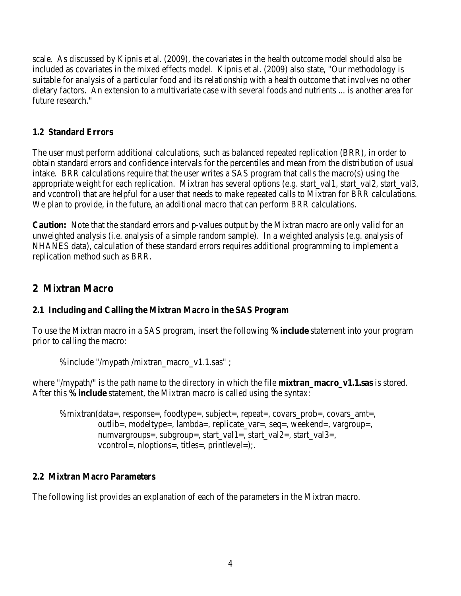scale. As discussed by Kipnis et al. (2009), the covariates in the health outcome model should also be included as covariates in the mixed effects model. Kipnis et al. (2009) also state, "Our methodology is suitable for analysis of a particular food and its relationship with a health outcome that involves no other dietary factors. An extension to a multivariate case with several foods and nutrients ... is another area for future research."

### **1.2 Standard Errors**

The user must perform additional calculations, such as balanced repeated replication (BRR), in order to obtain standard errors and confidence intervals for the percentiles and mean from the distribution of usual intake. BRR calculations require that the user writes a SAS program that calls the macro(s) using the appropriate weight for each replication. Mixtran has several options (e.g. start\_val1, start\_val2, start\_val3, and vcontrol) that are helpful for a user that needs to make repeated calls to Mixtran for BRR calculations. We plan to provide, in the future, an additional macro that can perform BRR calculations.

**Caution:** Note that the standard errors and p-values output by the Mixtran macro are only valid for an unweighted analysis (i.e. analysis of a simple random sample). In a weighted analysis (e.g. analysis of NHANES data), calculation of these standard errors requires additional programming to implement a replication method such as BRR.

# **2 Mixtran Macro**

### **2.1 Including and Calling the Mixtran Macro in the SAS Program**

To use the Mixtran macro in a SAS program, insert the following **%include** statement into your program prior to calling the macro:

```
%include "/mypath /mixtran_macro_v1.1.sas" ;
```
where "/mypath/" is the path name to the directory in which the file **mixtran macro v1.1.sas** is stored. After this **%include** statement, the Mixtran macro is called using the syntax:

```
%mixtran(data=, response=, foodtype=, subject=, repeat=, covars prob=, covars amt=,
 outlib=, modeltype=, lambda=, replicate_var=, seq=, weekend=, vargroup=,
numvargroups=, subgroup=, start_val1=, start_val2=, start_val3=,
 vcontrol=, nloptions=, titles=, printlevel=);.
```
### **2.2 Mixtran Macro Parameters**

The following list provides an explanation of each of the parameters in the Mixtran macro.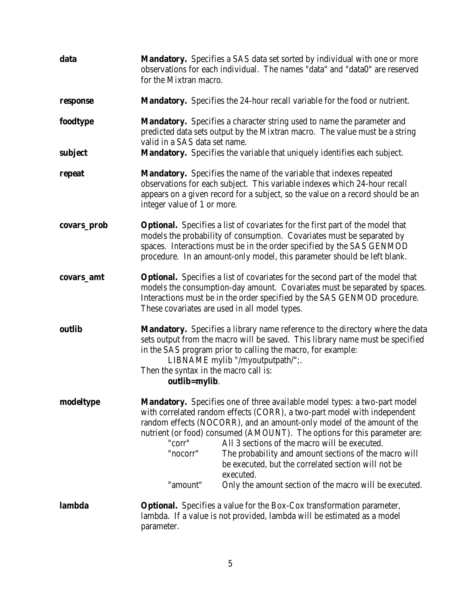| data        | <b>Mandatory.</b> Specifies a SAS data set sorted by individual with one or more<br>observations for each individual. The names "data" and "data0" are reserved<br>for the Mixtran macro.                                                                                                                                                                                                                                                                                                                                                                                                     |  |
|-------------|-----------------------------------------------------------------------------------------------------------------------------------------------------------------------------------------------------------------------------------------------------------------------------------------------------------------------------------------------------------------------------------------------------------------------------------------------------------------------------------------------------------------------------------------------------------------------------------------------|--|
| response    | <b>Mandatory.</b> Specifies the 24-hour recall variable for the food or nutrient.                                                                                                                                                                                                                                                                                                                                                                                                                                                                                                             |  |
| foodtype    | Mandatory. Specifies a character string used to name the parameter and<br>predicted data sets output by the Mixtran macro. The value must be a string<br>valid in a SAS data set name.                                                                                                                                                                                                                                                                                                                                                                                                        |  |
| subject     | Mandatory. Specifies the variable that uniquely identifies each subject.                                                                                                                                                                                                                                                                                                                                                                                                                                                                                                                      |  |
| repeat      | Mandatory. Specifies the name of the variable that indexes repeated<br>observations for each subject. This variable indexes which 24-hour recall<br>appears on a given record for a subject, so the value on a record should be an<br>integer value of 1 or more.                                                                                                                                                                                                                                                                                                                             |  |
| covars_prob | Optional. Specifies a list of covariates for the first part of the model that<br>models the probability of consumption. Covariates must be separated by<br>spaces. Interactions must be in the order specified by the SAS GENMOD<br>procedure. In an amount-only model, this parameter should be left blank.                                                                                                                                                                                                                                                                                  |  |
| covars_amt  | <b>Optional.</b> Specifies a list of covariates for the second part of the model that<br>models the consumption-day amount. Covariates must be separated by spaces.<br>Interactions must be in the order specified by the SAS GENMOD procedure.<br>These covariates are used in all model types.                                                                                                                                                                                                                                                                                              |  |
| outlib      | <b>Mandatory.</b> Specifies a library name reference to the directory where the data<br>sets output from the macro will be saved. This library name must be specified<br>in the SAS program prior to calling the macro, for example:<br>LIBNAME mylib "/myoutputpath/";.<br>Then the syntax in the macro call is:<br>outlib=mylib.                                                                                                                                                                                                                                                            |  |
| modeltype   | <b>Mandatory.</b> Specifies one of three available model types: a two-part model<br>with correlated random effects (CORR), a two-part model with independent<br>random effects (NOCORR), and an amount-only model of the amount of the<br>nutrient (or food) consumed (AMOUNT). The options for this parameter are:<br>All 3 sections of the macro will be executed.<br>"corr"<br>"nocorr"<br>The probability and amount sections of the macro will<br>be executed, but the correlated section will not be<br>executed.<br>"amount"<br>Only the amount section of the macro will be executed. |  |
| lambda      | <b>Optional.</b> Specifies a value for the Box-Cox transformation parameter,<br>lambda. If a value is not provided, lambda will be estimated as a model<br>parameter.                                                                                                                                                                                                                                                                                                                                                                                                                         |  |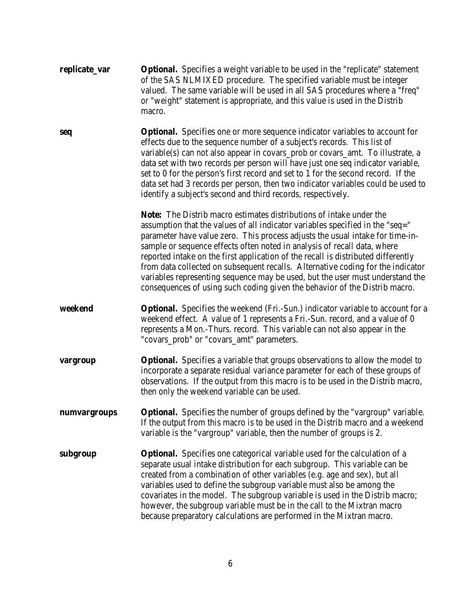| replicate_var | <b>Optional.</b> Specifies a weight variable to be used in the "replicate" statement<br>of the SAS NLMIXED procedure. The specified variable must be integer<br>valued. The same variable will be used in all SAS procedures where a "freq"<br>or "weight" statement is appropriate, and this value is used in the Distrib<br>macro.                                                                                                                                                                                                                                                                                                                            |
|---------------|-----------------------------------------------------------------------------------------------------------------------------------------------------------------------------------------------------------------------------------------------------------------------------------------------------------------------------------------------------------------------------------------------------------------------------------------------------------------------------------------------------------------------------------------------------------------------------------------------------------------------------------------------------------------|
| seq           | <b>Optional.</b> Specifies one or more sequence indicator variables to account for<br>effects due to the sequence number of a subject's records. This list of<br>variable(s) can not also appear in covars_prob or covars_amt. To illustrate, a<br>data set with two records per person will have just one seq indicator variable,<br>set to 0 for the person's first record and set to 1 for the second record. If the<br>data set had 3 records per person, then two indicator variables could be used to<br>identify a subject's second and third records, respectively.                                                                                     |
|               | <b>Note:</b> The Distrib macro estimates distributions of intake under the<br>assumption that the values of all indicator variables specified in the "seq="<br>parameter have value zero. This process adjusts the usual intake for time-in-<br>sample or sequence effects often noted in analysis of recall data, where<br>reported intake on the first application of the recall is distributed differently<br>from data collected on subsequent recalls. Alternative coding for the indicator<br>variables representing sequence may be used, but the user must understand the<br>consequences of using such coding given the behavior of the Distrib macro. |
| weekend       | <b>Optional.</b> Specifies the weekend (Fri.-Sun.) indicator variable to account for a<br>weekend effect. A value of 1 represents a Fri.-Sun. record, and a value of 0<br>represents a Mon.-Thurs. record. This variable can not also appear in the                                                                                                                                                                                                                                                                                                                                                                                                             |
|               | "covars_prob" or "covars_amt" parameters.                                                                                                                                                                                                                                                                                                                                                                                                                                                                                                                                                                                                                       |
| vargroup      | <b>Optional.</b> Specifies a variable that groups observations to allow the model to<br>incorporate a separate residual variance parameter for each of these groups of<br>observations. If the output from this macro is to be used in the Distrib macro,<br>then only the weekend variable can be used.                                                                                                                                                                                                                                                                                                                                                        |
| numvargroups  | <b>Optional.</b> Specifies the number of groups defined by the "vargroup" variable.<br>If the output from this macro is to be used in the Distrib macro and a weekend<br>variable is the "vargroup" variable, then the number of groups is 2.                                                                                                                                                                                                                                                                                                                                                                                                                   |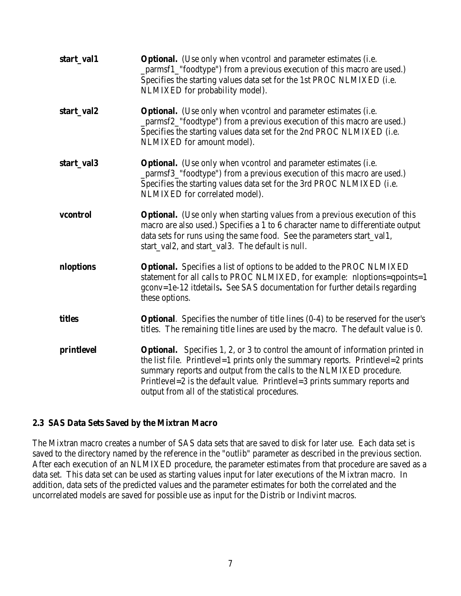| start_val1 | <b>Optional.</b> (Use only when vcontrol and parameter estimates (i.e.<br>_parmsf1_"foodtype") from a previous execution of this macro are used.)<br>Specifies the starting values data set for the 1st PROC NLMIXED (i.e.<br>NLMIXED for probability model).                                                                                                                          |
|------------|----------------------------------------------------------------------------------------------------------------------------------------------------------------------------------------------------------------------------------------------------------------------------------------------------------------------------------------------------------------------------------------|
| start_val2 | <b>Optional.</b> (Use only when vcontrol and parameter estimates (i.e.<br>_parmsf2_"foodtype") from a previous execution of this macro are used.)<br>Specifies the starting values data set for the 2nd PROC NLMIXED (i.e.<br>NLMIXED for amount model).                                                                                                                               |
| start_val3 | <b>Optional.</b> (Use only when vcontrol and parameter estimates (i.e.<br>_parmsf3_"foodtype") from a previous execution of this macro are used.)<br>Specifies the starting values data set for the 3rd PROC NLMIXED (i.e.<br>NLMIXED for correlated model).                                                                                                                           |
| vcontrol   | <b>Optional.</b> (Use only when starting values from a previous execution of this<br>macro are also used.) Specifies a 1 to 6 character name to differentiate output<br>data sets for runs using the same food. See the parameters start_val1,<br>start_val2, and start_val3. The default is null.                                                                                     |
| nloptions  | <b>Optional.</b> Specifies a list of options to be added to the PROC NLMIXED<br>statement for all calls to PROC NLMIXED, for example: nloptions=qpoints=1<br>gconv=1e-12 itdetails. See SAS documentation for further details regarding<br>these options.                                                                                                                              |
| titles     | <b>Optional.</b> Specifies the number of title lines $(0-4)$ to be reserved for the user's<br>titles. The remaining title lines are used by the macro. The default value is 0.                                                                                                                                                                                                         |
| printlevel | <b>Optional.</b> Specifies 1, 2, or 3 to control the amount of information printed in<br>the list file. Printlevel=1 prints only the summary reports. Printlevel=2 prints<br>summary reports and output from the calls to the NLMIXED procedure.<br>Printlevel= $2$ is the default value. Printlevel= $3$ prints summary reports and<br>output from all of the statistical procedures. |

#### **2.3 SAS Data Sets Saved by the Mixtran Macro**

The Mixtran macro creates a number of SAS data sets that are saved to disk for later use. Each data set is saved to the directory named by the reference in the "outlib" parameter as described in the previous section. After each execution of an NLMIXED procedure, the parameter estimates from that procedure are saved as a data set. This data set can be used as starting values input for later executions of the Mixtran macro. In addition, data sets of the predicted values and the parameter estimates for both the correlated and the uncorrelated models are saved for possible use as input for the Distrib or Indivint macros.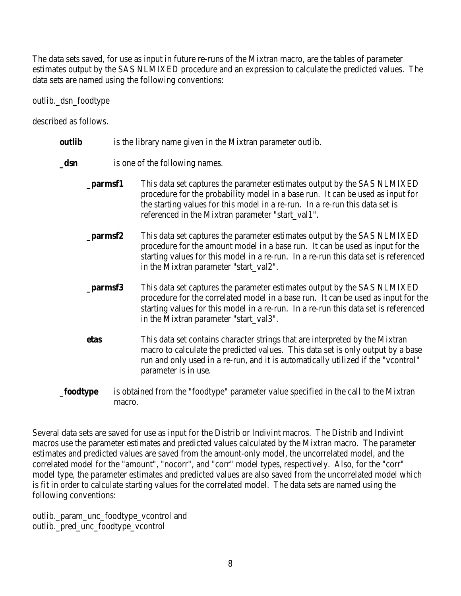The data sets saved, for use as input in future re-runs of the Mixtran macro, are the tables of parameter estimates output by the SAS NLMIXED procedure and an expression to calculate the predicted values. The data sets are named using the following conventions:

outlib.\_dsn\_foodtype

described as follows.

| outlib | is the library name given in the Mixtran parameter outlib. |  |  |
|--------|------------------------------------------------------------|--|--|
|        |                                                            |  |  |

- **dsn** is one of the following names.
	- **\_parmsf1** This data set captures the parameter estimates output by the SAS NLMIXED procedure for the probability model in a base run. It can be used as input for the starting values for this model in a re-run. In a re-run this data set is referenced in the Mixtran parameter "start\_val1".
	- **\_parmsf2** This data set captures the parameter estimates output by the SAS NLMIXED procedure for the amount model in a base run. It can be used as input for the starting values for this model in a re-run. In a re-run this data set is referenced in the Mixtran parameter "start\_val2".
	- **\_parmsf3** This data set captures the parameter estimates output by the SAS NLMIXED procedure for the correlated model in a base run. It can be used as input for the starting values for this model in a re-run. In a re-run this data set is referenced in the Mixtran parameter "start\_val3".
	- **etas** This data set contains character strings that are interpreted by the Mixtran macro to calculate the predicted values. This data set is only output by a base run and only used in a re-run, and it is automatically utilized if the "vcontrol" parameter is in use.
- **\_foodtype** is obtained from the "foodtype" parameter value specified in the call to the Mixtran macro.

Several data sets are saved for use as input for the Distrib or Indivint macros. The Distrib and Indivint macros use the parameter estimates and predicted values calculated by the Mixtran macro. The parameter estimates and predicted values are saved from the amount-only model, the uncorrelated model, and the correlated model for the "amount", "nocorr", and "corr" model types, respectively. Also, for the "corr" model type, the parameter estimates and predicted values are also saved from the uncorrelated model which is fit in order to calculate starting values for the correlated model. The data sets are named using the following conventions:

outlib.\_param\_unc\_foodtype\_vcontrol and outlib.\_pred\_unc\_foodtype\_vcontrol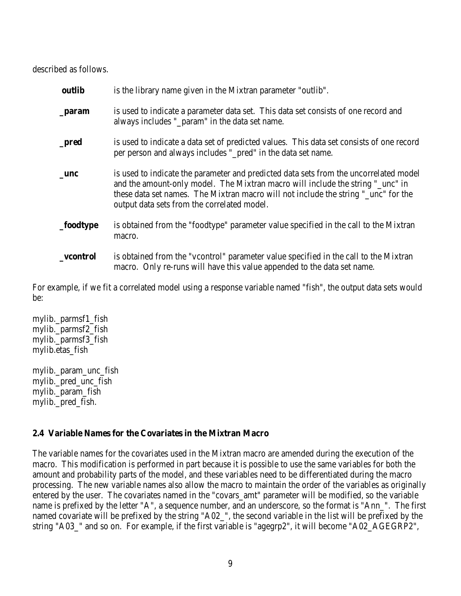described as follows.

| outlib    | is the library name given in the Mixtran parameter "outlib".                                                                                                                                                                                                                                                 |
|-----------|--------------------------------------------------------------------------------------------------------------------------------------------------------------------------------------------------------------------------------------------------------------------------------------------------------------|
| $\_param$ | is used to indicate a parameter data set. This data set consists of one record and<br>always includes "_param" in the data set name.                                                                                                                                                                         |
| $\_pred$  | is used to indicate a data set of predicted values. This data set consists of one record<br>per person and always includes "_pred" in the data set name.                                                                                                                                                     |
| _unc      | is used to indicate the parameter and predicted data sets from the uncorrelated model<br>and the amount-only model. The Mixtran macro will include the string "_unc" in<br>these data set names. The Mixtran macro will not include the string "_unc" for the<br>output data sets from the correlated model. |
| _foodtype | is obtained from the "foodtype" parameter value specified in the call to the Mixtran<br>macro.                                                                                                                                                                                                               |
| vcontrol  | is obtained from the "vcontrol" parameter value specified in the call to the Mixtran<br>macro. Only re-runs will have this value appended to the data set name.                                                                                                                                              |

For example, if we fit a correlated model using a response variable named "fish", the output data sets would be:

mylib.\_parmsf1\_fish mylib.\_parmsf2\_fish mylib.\_parmsf3\_fish mylib.etas\_fish

mylib.\_param\_unc\_fish mylib. pred unc fish mylib.\_param\_fish mylib.\_pred\_fish.

### **2.4 Variable Names for the Covariates in the Mixtran Macro**

The variable names for the covariates used in the Mixtran macro are amended during the execution of the macro. This modification is performed in part because it is possible to use the same variables for both the amount and probability parts of the model, and these variables need to be differentiated during the macro processing. The new variable names also allow the macro to maintain the order of the variables as originally entered by the user. The covariates named in the "covars\_amt" parameter will be modified, so the variable name is prefixed by the letter "A", a sequence number, and an underscore, so the format is "Ann\_". The first named covariate will be prefixed by the string "A02\_", the second variable in the list will be prefixed by the string "A03\_" and so on. For example, if the first variable is "agegrp2", it will become "A02\_AGEGRP2",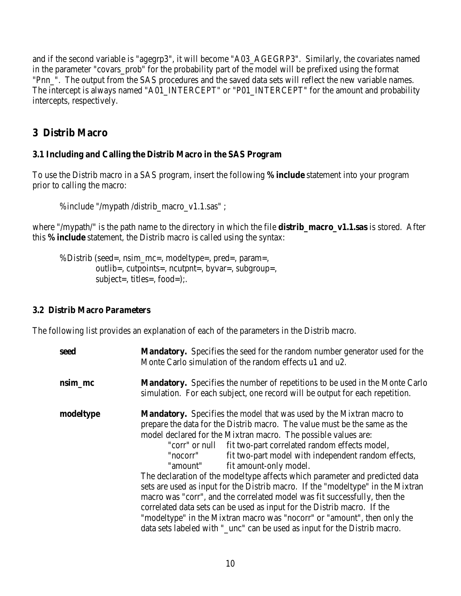and if the second variable is "agegrp3", it will become "A03\_AGEGRP3". Similarly, the covariates named in the parameter "covars\_prob" for the probability part of the model will be prefixed using the format "Pnn\_". The output from the SAS procedures and the saved data sets will reflect the new variable names. The intercept is always named "A01\_INTERCEPT" or "P01\_INTERCEPT" for the amount and probability intercepts, respectively.

# **3 Distrib Macro**

#### **3.1 Including and Calling the Distrib Macro in the SAS Program**

To use the Distrib macro in a SAS program, insert the following **%include** statement into your program prior to calling the macro:

%include "/mypath /distrib\_macro\_v1.1.sas" ;

where "/mypath/" is the path name to the directory in which the file **distrib\_macro\_v1.1.sas** is stored. After this **%include** statement, the Distrib macro is called using the syntax:

%Distrib (seed=, nsim\_mc=, modeltype=, pred=, param=, outlib=, cutpoints=, ncutpnt=, byvar=, subgroup=, subject=, titles=, food=);.

#### **3.2 Distrib Macro Parameters**

The following list provides an explanation of each of the parameters in the Distrib macro.

| seed      | <b>Mandatory.</b> Specifies the seed for the random number generator used for the<br>Monte Carlo simulation of the random effects u1 and u2.                                                                                                                                                                                                                                                                                                                                                                                                                                                                                                                                                                                                                                                                                                                                               |
|-----------|--------------------------------------------------------------------------------------------------------------------------------------------------------------------------------------------------------------------------------------------------------------------------------------------------------------------------------------------------------------------------------------------------------------------------------------------------------------------------------------------------------------------------------------------------------------------------------------------------------------------------------------------------------------------------------------------------------------------------------------------------------------------------------------------------------------------------------------------------------------------------------------------|
| nsim_mc   | <b>Mandatory.</b> Specifies the number of repetitions to be used in the Monte Carlo<br>simulation. For each subject, one record will be output for each repetition.                                                                                                                                                                                                                                                                                                                                                                                                                                                                                                                                                                                                                                                                                                                        |
| modeltype | <b>Mandatory.</b> Specifies the model that was used by the Mixtran macro to<br>prepare the data for the Distrib macro. The value must be the same as the<br>model declared for the Mixtran macro. The possible values are:<br>fit two-part correlated random effects model,<br>"corr" or null<br>fit two-part model with independent random effects,<br>"nocorr"<br>fit amount-only model.<br>"amount"<br>The declaration of the modeltype affects which parameter and predicted data<br>sets are used as input for the Distrib macro. If the "modeltype" in the Mixtran<br>macro was "corr", and the correlated model was fit successfully, then the<br>correlated data sets can be used as input for the Distribunation. If the<br>"modeltype" in the Mixtran macro was "nocorr" or "amount", then only the<br>data sets labeled with "_unc" can be used as input for the Distrib macro. |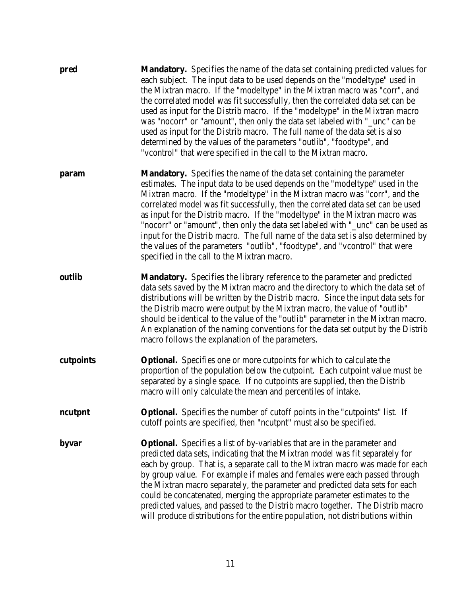| pred      | <b>Mandatory.</b> Specifies the name of the data set containing predicted values for<br>each subject. The input data to be used depends on the "modeltype" used in<br>the Mixtran macro. If the "modeltype" in the Mixtran macro was "corr", and<br>the correlated model was fit successfully, then the correlated data set can be<br>used as input for the Distrib macro. If the "modeltype" in the Mixtran macro<br>was "nocorr" or "amount", then only the data set labeled with "_unc" can be<br>used as input for the Distrib macro. The full name of the data set is also<br>determined by the values of the parameters "outlib", "foodtype", and<br>"veontrol" that were specified in the call to the Mixtran macro. |
|-----------|-----------------------------------------------------------------------------------------------------------------------------------------------------------------------------------------------------------------------------------------------------------------------------------------------------------------------------------------------------------------------------------------------------------------------------------------------------------------------------------------------------------------------------------------------------------------------------------------------------------------------------------------------------------------------------------------------------------------------------|
| param     | <b>Mandatory.</b> Specifies the name of the data set containing the parameter<br>estimates. The input data to be used depends on the "modeltype" used in the<br>Mixtran macro. If the "modeltype" in the Mixtran macro was "corr", and the<br>correlated model was fit successfully, then the correlated data set can be used<br>as input for the Distrib macro. If the "modeltype" in the Mixtran macro was<br>"nocorr" or "amount", then only the data set labeled with "_unc" can be used as<br>input for the Distrib macro. The full name of the data set is also determined by<br>the values of the parameters "outlib", "foodtype", and "vcontrol" that were<br>specified in the call to the Mixtran macro.           |
| outlib    | <b>Mandatory.</b> Specifies the library reference to the parameter and predicted<br>data sets saved by the Mixtran macro and the directory to which the data set of<br>distributions will be written by the Distrib macro. Since the input data sets for<br>the Distrib macro were output by the Mixtran macro, the value of "outlib"<br>should be identical to the value of the "outlib" parameter in the Mixtran macro.<br>An explanation of the naming conventions for the data set output by the Distrib<br>macro follows the explanation of the parameters.                                                                                                                                                            |
| cutpoints | <b>Optional.</b> Specifies one or more cutpoints for which to calculate the<br>proportion of the population below the cutpoint. Each cutpoint value must be<br>separated by a single space. If no cutpoints are supplied, then the Distrib<br>macro will only calculate the mean and percentiles of intake.                                                                                                                                                                                                                                                                                                                                                                                                                 |
| ncutpnt   | <b>Optional.</b> Specifies the number of cutoff points in the "cutpoints" list. If<br>cutoff points are specified, then "ncutpnt" must also be specified.                                                                                                                                                                                                                                                                                                                                                                                                                                                                                                                                                                   |
| byvar     | <b>Optional.</b> Specifies a list of by-variables that are in the parameter and<br>predicted data sets, indicating that the Mixtran model was fit separately for<br>each by group. That is, a separate call to the Mixtran macro was made for each<br>by group value. For example if males and females were each passed through<br>the Mixtran macro separately, the parameter and predicted data sets for each<br>could be concatenated, merging the appropriate parameter estimates to the<br>predicted values, and passed to the Distrib macro together. The Distrib macro<br>will produce distributions for the entire population, not distributions within                                                             |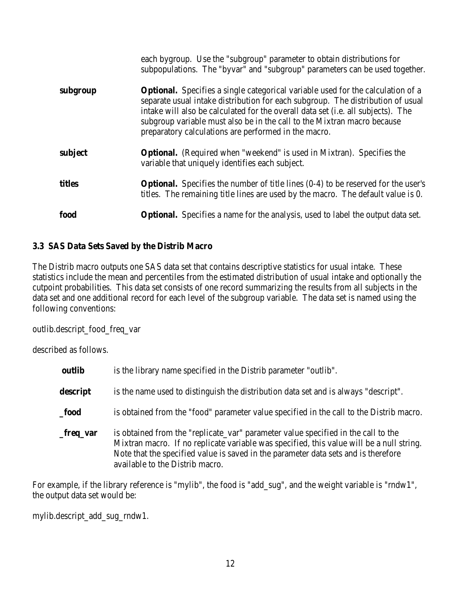|          | each bygroup. Use the "subgroup" parameter to obtain distributions for<br>subpopulations. The "byvar" and "subgroup" parameters can be used together.                                                                                                                                                                                                                                                    |
|----------|----------------------------------------------------------------------------------------------------------------------------------------------------------------------------------------------------------------------------------------------------------------------------------------------------------------------------------------------------------------------------------------------------------|
| subgroup | <b>Optional.</b> Specifies a single categorical variable used for the calculation of a<br>separate usual intake distribution for each subgroup. The distribution of usual<br>intake will also be calculated for the overall data set ( <i>i.e.</i> all subjects). The<br>subgroup variable must also be in the call to the Mixtran macro because<br>preparatory calculations are performed in the macro. |
| subject  | <b>Optional.</b> (Required when "weekend" is used in Mixtran). Specifies the<br>variable that uniquely identifies each subject.                                                                                                                                                                                                                                                                          |
| titles   | <b>Optional.</b> Specifies the number of title lines $(0-4)$ to be reserved for the user's<br>titles. The remaining title lines are used by the macro. The default value is 0.                                                                                                                                                                                                                           |
| food     | <b>Optional.</b> Specifies a name for the analysis, used to label the output data set.                                                                                                                                                                                                                                                                                                                   |

### **3.3 SAS Data Sets Saved by the Distrib Macro**

The Distrib macro outputs one SAS data set that contains descriptive statistics for usual intake. These statistics include the mean and percentiles from the estimated distribution of usual intake and optionally the cutpoint probabilities. This data set consists of one record summarizing the results from all subjects in the data set and one additional record for each level of the subgroup variable. The data set is named using the following conventions:

outlib.descript\_food\_freq\_var

described as follows.

| outlib    | is the library name specified in the Distrib parameter "outlib".                                                                                                                                                                                                                                       |
|-----------|--------------------------------------------------------------------------------------------------------------------------------------------------------------------------------------------------------------------------------------------------------------------------------------------------------|
| descript  | is the name used to distinguish the distribution data set and is always "descript".                                                                                                                                                                                                                    |
| food      | is obtained from the "food" parameter value specified in the call to the Distrib macro.                                                                                                                                                                                                                |
| _freq_var | is obtained from the "replicate_var" parameter value specified in the call to the<br>Mixtran macro. If no replicate variable was specified, this value will be a null string.<br>Note that the specified value is saved in the parameter data sets and is therefore<br>available to the Distrib macro. |

For example, if the library reference is "mylib", the food is "add\_sug", and the weight variable is "rndw1", the output data set would be:

mylib.descript\_add\_sug\_rndw1.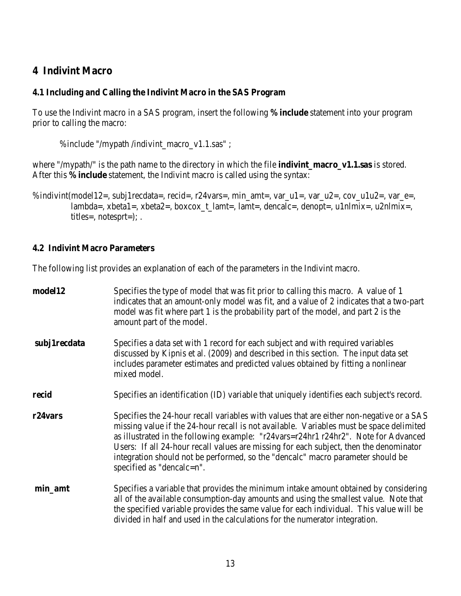# **4 Indivint Macro**

### **4.1 Including and Calling the Indivint Macro in the SAS Program**

To use the Indivint macro in a SAS program, insert the following **%include** statement into your program prior to calling the macro:

%include "/mypath /indivint\_macro\_v1.1.sas" ;

where "/mypath/" is the path name to the directory in which the file **indivint\_macro\_v1.1.sas** is stored. After this **%include** statement, the Indivint macro is called using the syntax:

%indivint(model12=, subj1recdata=, recid=, r24vars=, min\_amt=, var\_u1=, var\_u2=, cov\_u1u2=, var\_e=, lambda=, xbeta1=, xbeta2=, boxcox\_t\_lamt=, lamt=, dencalc=, denopt=, u1nlmix=, u2nlmix=, titles=, notesprt=); .

### **4.2 Indivint Macro Parameters**

The following list provides an explanation of each of the parameters in the Indivint macro.

| model12              | Specifies the type of model that was fit prior to calling this macro. A value of 1<br>indicates that an amount-only model was fit, and a value of 2 indicates that a two-part<br>model was fit where part 1 is the probability part of the model, and part 2 is the<br>amount part of the model.                                                                                                                                                                                     |
|----------------------|--------------------------------------------------------------------------------------------------------------------------------------------------------------------------------------------------------------------------------------------------------------------------------------------------------------------------------------------------------------------------------------------------------------------------------------------------------------------------------------|
| subj1recdata         | Specifies a data set with 1 record for each subject and with required variables<br>discussed by Kipnis et al. (2009) and described in this section. The input data set<br>includes parameter estimates and predicted values obtained by fitting a nonlinear<br>mixed model.                                                                                                                                                                                                          |
| recid                | Specifies an identification (ID) variable that uniquely identifies each subject's record.                                                                                                                                                                                                                                                                                                                                                                                            |
| r <sub>24</sub> vars | Specifies the 24-hour recall variables with values that are either non-negative or a SAS<br>missing value if the 24-hour recall is not available. Variables must be space delimited<br>as illustrated in the following example: "r24vars=r24hr1 r24hr2". Note for Advanced<br>Users: If all 24-hour recall values are missing for each subject, then the denominator<br>integration should not be performed, so the "dencalc" macro parameter should be<br>specified as "dencalc=n". |
| min_amt              | Specifies a variable that provides the minimum intake amount obtained by considering<br>all of the available consumption-day amounts and using the smallest value. Note that<br>the specified variable provides the same value for each individual. This value will be<br>divided in half and used in the calculations for the numerator integration.                                                                                                                                |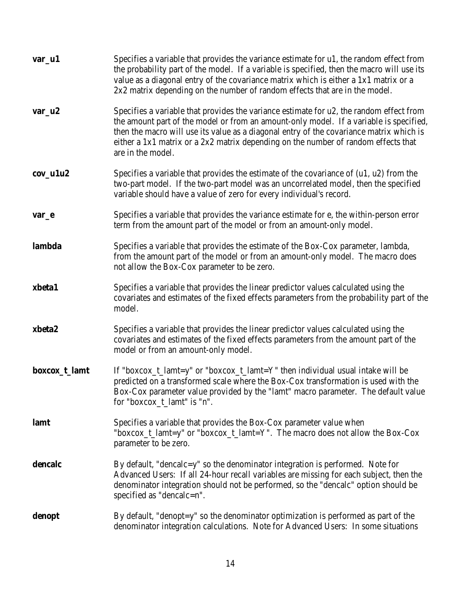| var_u1         | Specifies a variable that provides the variance estimate for u1, the random effect from<br>the probability part of the model. If a variable is specified, then the macro will use its<br>value as a diagonal entry of the covariance matrix which is either a 1x1 matrix or a<br>$2x2$ matrix depending on the number of random effects that are in the model.                          |
|----------------|-----------------------------------------------------------------------------------------------------------------------------------------------------------------------------------------------------------------------------------------------------------------------------------------------------------------------------------------------------------------------------------------|
| $var_u2$       | Specifies a variable that provides the variance estimate for u2, the random effect from<br>the amount part of the model or from an amount-only model. If a variable is specified,<br>then the macro will use its value as a diagonal entry of the covariance matrix which is<br>either a 1x1 matrix or a 2x2 matrix depending on the number of random effects that<br>are in the model. |
| $cov_$ u $1u2$ | Specifies a variable that provides the estimate of the covariance of $(u1, u2)$ from the<br>two-part model. If the two-part model was an uncorrelated model, then the specified<br>variable should have a value of zero for every individual's record.                                                                                                                                  |
| var_e          | Specifies a variable that provides the variance estimate for e, the within-person error<br>term from the amount part of the model or from an amount-only model.                                                                                                                                                                                                                         |
| lambda         | Specifies a variable that provides the estimate of the Box-Cox parameter, lambda,<br>from the amount part of the model or from an amount-only model. The macro does<br>not allow the Box-Cox parameter to be zero.                                                                                                                                                                      |
| xbeta1         | Specifies a variable that provides the linear predictor values calculated using the<br>covariates and estimates of the fixed effects parameters from the probability part of the<br>model.                                                                                                                                                                                              |
| xbeta2         | Specifies a variable that provides the linear predictor values calculated using the<br>covariates and estimates of the fixed effects parameters from the amount part of the<br>model or from an amount-only model.                                                                                                                                                                      |
| boxcox_t_lamt  | If "boxcox_t_lamt=y" or "boxcox_t_lamt=Y" then individual usual intake will be<br>predicted on a transformed scale where the Box-Cox transformation is used with the<br>Box-Cox parameter value provided by the "lamt" macro parameter. The default value<br>for "boxcox_t_lamt" is "n".                                                                                                |
| lamt           | Specifies a variable that provides the Box-Cox parameter value when<br>"boxcox_t_lamt=y" or "boxcox_t_lamt=Y". The macro does not allow the Box-Cox<br>parameter to be zero.                                                                                                                                                                                                            |
| dencalc        | By default, "dencalc=y" so the denominator integration is performed. Note for<br>Advanced Users: If all 24-hour recall variables are missing for each subject, then the<br>denominator integration should not be performed, so the "dencalc" option should be<br>specified as "dencalc=n".                                                                                              |
| denopt         | By default, "denopt=y" so the denominator optimization is performed as part of the<br>denominator integration calculations. Note for Advanced Users: In some situations                                                                                                                                                                                                                 |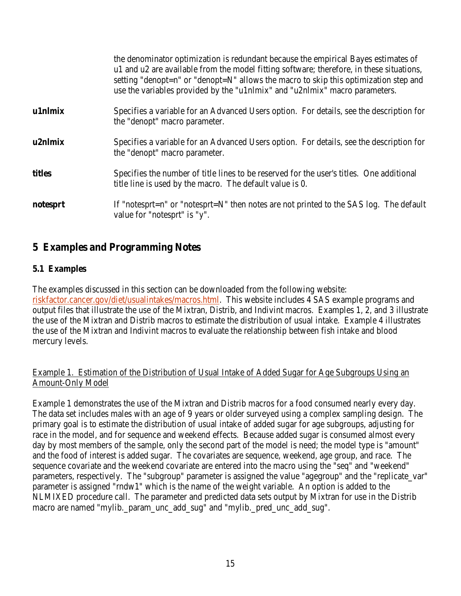|          | the denominator optimization is redundant because the empirical Bayes estimates of<br>u1 and u2 are available from the model fitting software; therefore, in these situations,<br>setting "denopt=n" or "denopt=N" allows the macro to skip this optimization step and<br>use the variables provided by the "u1nlmix" and "u2nlmix" macro parameters. |
|----------|-------------------------------------------------------------------------------------------------------------------------------------------------------------------------------------------------------------------------------------------------------------------------------------------------------------------------------------------------------|
| u1nlmix  | Specifies a variable for an Advanced Users option. For details, see the description for<br>the "denopt" macro parameter.                                                                                                                                                                                                                              |
| u2nlmix  | Specifies a variable for an Advanced Users option. For details, see the description for<br>the "denopt" macro parameter.                                                                                                                                                                                                                              |
| titles   | Specifies the number of title lines to be reserved for the user's titles. One additional<br>title line is used by the macro. The default value is 0.                                                                                                                                                                                                  |
| notesprt | If "notesprt=n" or "notesprt=N" then notes are not printed to the SAS log. The default<br>value for "notesprt" is "y".                                                                                                                                                                                                                                |

# **5 Examples and Programming Notes**

### **5.1 Examples**

The examples discussed in this section can be downloaded from the following website: riskfactor.cancer.gov/diet/usualintakes/macros.html. This website includes 4 SAS example programs and output files that illustrate the use of the Mixtran, Distrib, and Indivint macros. Examples 1, 2, and 3 illustrate the use of the Mixtran and Distrib macros to estimate the distribution of usual intake. Example 4 illustrates the use of the Mixtran and Indivint macros to evaluate the relationship between fish intake and blood mercury levels.

### Example 1. Estimation of the Distribution of Usual Intake of Added Sugar for Age Subgroups Using an Amount-Only Model

Example 1 demonstrates the use of the Mixtran and Distrib macros for a food consumed nearly every day. The data set includes males with an age of 9 years or older surveyed using a complex sampling design. The primary goal is to estimate the distribution of usual intake of added sugar for age subgroups, adjusting for race in the model, and for sequence and weekend effects. Because added sugar is consumed almost every day by most members of the sample, only the second part of the model is need; the model type is "amount" and the food of interest is added sugar. The covariates are sequence, weekend, age group, and race. The sequence covariate and the weekend covariate are entered into the macro using the "seq" and "weekend" parameters, respectively. The "subgroup" parameter is assigned the value "agegroup" and the "replicate\_var" parameter is assigned "rndw1" which is the name of the weight variable. An option is added to the NLMIXED procedure call. The parameter and predicted data sets output by Mixtran for use in the Distrib macro are named "mylib.\_param\_unc\_add\_sug" and "mylib.\_pred\_unc\_add\_sug".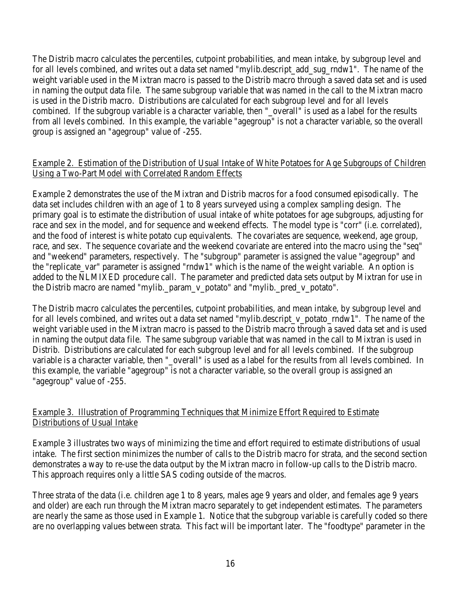The Distrib macro calculates the percentiles, cutpoint probabilities, and mean intake, by subgroup level and for all levels combined, and writes out a data set named "mylib.descript\_add\_sug\_rndw1". The name of the weight variable used in the Mixtran macro is passed to the Distrib macro through a saved data set and is used in naming the output data file. The same subgroup variable that was named in the call to the Mixtran macro is used in the Distrib macro. Distributions are calculated for each subgroup level and for all levels combined. If the subgroup variable is a character variable, then "\_overall" is used as a label for the results from all levels combined. In this example, the variable "agegroup" is not a character variable, so the overall group is assigned an "agegroup" value of -255.

### Example 2. Estimation of the Distribution of Usual Intake of White Potatoes for Age Subgroups of Children Using a Two-Part Model with Correlated Random Effects

Example 2 demonstrates the use of the Mixtran and Distrib macros for a food consumed episodically. The data set includes children with an age of 1 to 8 years surveyed using a complex sampling design. The primary goal is to estimate the distribution of usual intake of white potatoes for age subgroups, adjusting for race and sex in the model, and for sequence and weekend effects. The model type is "corr" (i.e. correlated), and the food of interest is white potato cup equivalents. The covariates are sequence, weekend, age group, race, and sex. The sequence covariate and the weekend covariate are entered into the macro using the "seq" and "weekend" parameters, respectively. The "subgroup" parameter is assigned the value "agegroup" and the "replicate\_var" parameter is assigned "rndw1" which is the name of the weight variable. An option is added to the NLMIXED procedure call. The parameter and predicted data sets output by Mixtran for use in the Distrib macro are named "mylib.\_param\_v\_potato" and "mylib.\_pred\_v\_potato".

The Distrib macro calculates the percentiles, cutpoint probabilities, and mean intake, by subgroup level and for all levels combined, and writes out a data set named "mylib.descript\_v\_potato\_rndw1". The name of the weight variable used in the Mixtran macro is passed to the Distrib macro through a saved data set and is used in naming the output data file. The same subgroup variable that was named in the call to Mixtran is used in Distrib. Distributions are calculated for each subgroup level and for all levels combined. If the subgroup variable is a character variable, then "\_overall" is used as a label for the results from all levels combined. In this example, the variable "agegroup" is not a character variable, so the overall group is assigned an "agegroup" value of -255.

### Example 3. Illustration of Programming Techniques that Minimize Effort Required to Estimate Distributions of Usual Intake

Example 3 illustrates two ways of minimizing the time and effort required to estimate distributions of usual intake. The first section minimizes the number of calls to the Distrib macro for strata, and the second section demonstrates a way to re-use the data output by the Mixtran macro in follow-up calls to the Distrib macro. This approach requires only a little SAS coding outside of the macros.

Three strata of the data (i.e. children age 1 to 8 years, males age 9 years and older, and females age 9 years and older) are each run through the Mixtran macro separately to get independent estimates. The parameters are nearly the same as those used in Example 1. Notice that the subgroup variable is carefully coded so there are no overlapping values between strata. This fact will be important later. The "foodtype" parameter in the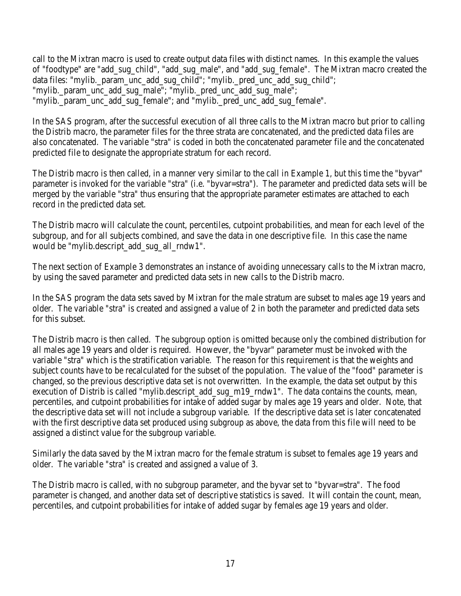call to the Mixtran macro is used to create output data files with distinct names. In this example the values of "foodtype" are "add\_sug\_child", "add\_sug\_male", and "add\_sug\_female". The Mixtran macro created the data files: "mylib.\_param\_unc\_add\_sug\_child"; "mylib.\_pred\_unc\_add\_sug\_child"; "mylib.\_param\_unc\_add\_sug\_male"; "mylib.\_pred\_unc\_add\_sug\_male"; "mylib. param\_unc\_add\_sug\_female"; and "mylib. pred\_unc\_add\_sug\_female".

In the SAS program, after the successful execution of all three calls to the Mixtran macro but prior to calling the Distrib macro, the parameter files for the three strata are concatenated, and the predicted data files are also concatenated. The variable "stra" is coded in both the concatenated parameter file and the concatenated predicted file to designate the appropriate stratum for each record.

The Distrib macro is then called, in a manner very similar to the call in Example 1, but this time the "byvar" parameter is invoked for the variable "stra" (i.e. "byvar=stra"). The parameter and predicted data sets will be merged by the variable "stra" thus ensuring that the appropriate parameter estimates are attached to each record in the predicted data set.

The Distrib macro will calculate the count, percentiles, cutpoint probabilities, and mean for each level of the subgroup, and for all subjects combined, and save the data in one descriptive file. In this case the name would be "mylib.descript\_add\_sug\_all\_rndw1".

The next section of Example 3 demonstrates an instance of avoiding unnecessary calls to the Mixtran macro, by using the saved parameter and predicted data sets in new calls to the Distrib macro.

In the SAS program the data sets saved by Mixtran for the male stratum are subset to males age 19 years and older. The variable "stra" is created and assigned a value of 2 in both the parameter and predicted data sets for this subset.

The Distrib macro is then called. The subgroup option is omitted because only the combined distribution for all males age 19 years and older is required. However, the "byvar" parameter must be invoked with the variable "stra" which is the stratification variable. The reason for this requirement is that the weights and subject counts have to be recalculated for the subset of the population. The value of the "food" parameter is changed, so the previous descriptive data set is not overwritten. In the example, the data set output by this execution of Distrib is called "mylib.descript\_add\_sug\_m19\_rndw1". The data contains the counts, mean, percentiles, and cutpoint probabilities for intake of added sugar by males age 19 years and older. Note, that the descriptive data set will not include a subgroup variable. If the descriptive data set is later concatenated with the first descriptive data set produced using subgroup as above, the data from this file will need to be assigned a distinct value for the subgroup variable.

Similarly the data saved by the Mixtran macro for the female stratum is subset to females age 19 years and older. The variable "stra" is created and assigned a value of 3.

The Distrib macro is called, with no subgroup parameter, and the byvar set to "byvar=stra". The food parameter is changed, and another data set of descriptive statistics is saved. It will contain the count, mean, percentiles, and cutpoint probabilities for intake of added sugar by females age 19 years and older.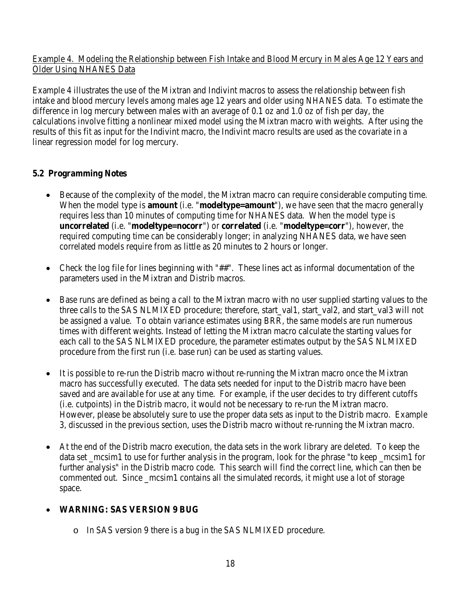### Example 4. Modeling the Relationship between Fish Intake and Blood Mercury in Males Age 12 Years and Older Using NHANES Data

Example 4 illustrates the use of the Mixtran and Indivint macros to assess the relationship between fish intake and blood mercury levels among males age 12 years and older using NHANES data. To estimate the difference in log mercury between males with an average of 0.1 oz and 1.0 oz of fish per day, the calculations involve fitting a nonlinear mixed model using the Mixtran macro with weights. After using the results of this fit as input for the Indivint macro, the Indivint macro results are used as the covariate in a linear regression model for log mercury.

### **5.2 Programming Notes**

- Because of the complexity of the model, the Mixtran macro can require considerable computing time. When the model type is **amount** (i.e. "**modeltype=amount**"), we have seen that the macro generally requires less than 10 minutes of computing time for NHANES data. When the model type is **uncorrelated** (i.e. "**modeltype=nocorr**") or **correlated** (i.e. "**modeltype=corr**"), however, the required computing time can be considerably longer; in analyzing NHANES data, we have seen correlated models require from as little as 20 minutes to 2 hours or longer.
- Check the log file for lines beginning with "##". These lines act as informal documentation of the parameters used in the Mixtran and Distrib macros.
- Base runs are defined as being a call to the Mixtran macro with no user supplied starting values to the three calls to the SAS NLMIXED procedure; therefore, start\_val1, start\_val2, and start\_val3 will not be assigned a value. To obtain variance estimates using BRR, the same models are run numerous times with different weights. Instead of letting the Mixtran macro calculate the starting values for each call to the SAS NLMIXED procedure, the parameter estimates output by the SAS NLMIXED procedure from the first run (i.e. base run) can be used as starting values.
- It is possible to re-run the Distrib macro without re-running the Mixtran macro once the Mixtran macro has successfully executed. The data sets needed for input to the Distrib macro have been saved and are available for use at any time. For example, if the user decides to try different cutoffs (i.e. cutpoints) in the Distrib macro, it would not be necessary to re-run the Mixtran macro. However, please be absolutely sure to use the proper data sets as input to the Distrib macro. Example 3, discussed in the previous section, uses the Distrib macro without re-running the Mixtran macro.
- At the end of the Distrib macro execution, the data sets in the work library are deleted. To keep the data set \_mcsim1 to use for further analysis in the program, look for the phrase "to keep \_mcsim1 for further analysis" in the Distrib macro code. This search will find the correct line, which can then be commented out. Since mcsim1 contains all the simulated records, it might use a lot of storage space.

# • **WARNING: SAS VERSION 9 BUG**

o In SAS version 9 there is a bug in the SAS NLMIXED procedure.